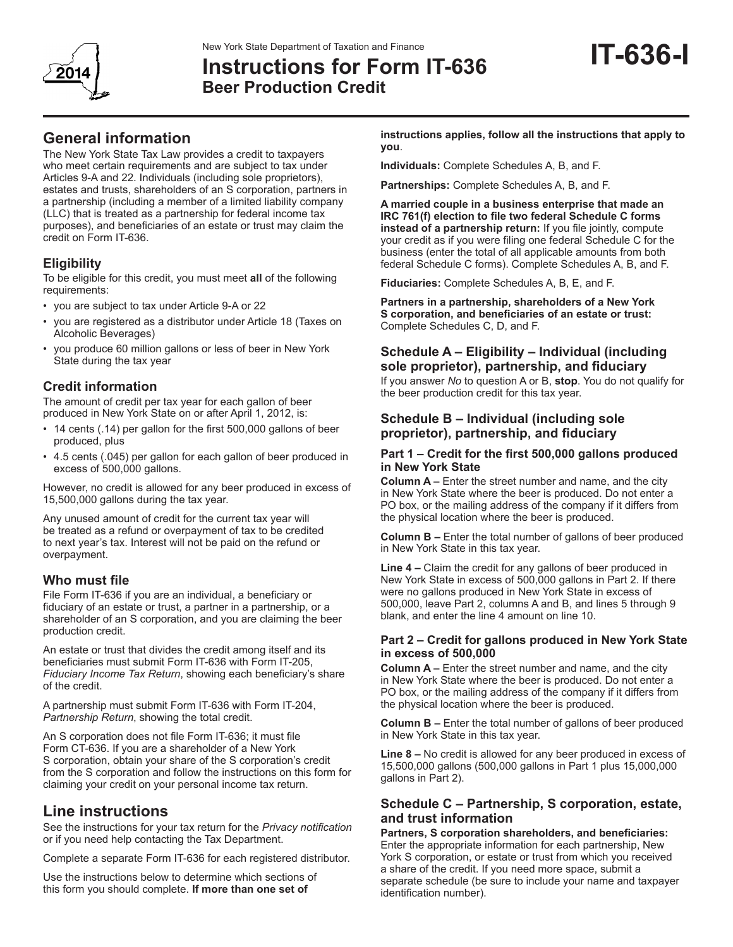

# **IT-636-I** New York State Department of Taxation and Finance **Instructions for Form IT-636 Beer Production Credit**

The New York State Tax Law provides a credit to taxpayers who meet certain requirements and are subject to tax under Articles 9-A and 22. Individuals (including sole proprietors), estates and trusts, shareholders of an S corporation, partners in a partnership (including a member of a limited liability company (LLC) that is treated as a partnership for federal income tax purposes), and beneficiaries of an estate or trust may claim the credit on Form IT-636.

# **Eligibility**

To be eligible for this credit, you must meet **all** of the following requirements:

- you are subject to tax under Article 9-A or 22
- you are registered as a distributor under Article 18 (Taxes on Alcoholic Beverages)
- you produce 60 million gallons or less of beer in New York State during the tax year

# **Credit information**

The amount of credit per tax year for each gallon of beer produced in New York State on or after April 1, 2012, is:

- 14 cents (.14) per gallon for the first 500,000 gallons of beer produced, plus
- 4.5 cents (.045) per gallon for each gallon of beer produced in excess of 500,000 gallons.

However, no credit is allowed for any beer produced in excess of 15,500,000 gallons during the tax year.

Any unused amount of credit for the current tax year will be treated as a refund or overpayment of tax to be credited to next year's tax. Interest will not be paid on the refund or overpayment.

# **Who must file**

File Form IT-636 if you are an individual, a beneficiary or fiduciary of an estate or trust, a partner in a partnership, or a shareholder of an S corporation, and you are claiming the beer production credit.

An estate or trust that divides the credit among itself and its beneficiaries must submit Form IT-636 with Form IT-205, *Fiduciary Income Tax Return*, showing each beneficiary's share of the credit.

A partnership must submit Form IT-636 with Form IT-204, *Partnership Return*, showing the total credit.

An S corporation does not file Form IT-636; it must file Form CT-636. If you are a shareholder of a New York S corporation, obtain your share of the S corporation's credit from the S corporation and follow the instructions on this form for claiming your credit on your personal income tax return.

# **Line instructions**

See the instructions for your tax return for the *Privacy notification*  or if you need help contacting the Tax Department.

Complete a separate Form IT-636 for each registered distributor.

Use the instructions below to determine which sections of this form you should complete. **If more than one set of** 

**instructions applies, follow all the instructions that apply to you**.

**Individuals:** Complete Schedules A, B, and F.

**Partnerships:** Complete Schedules A, B, and F.

**A married couple in a business enterprise that made an IRC 761(f) election to file two federal Schedule C forms instead of a partnership return:** If you file jointly, compute your credit as if you were filing one federal Schedule C for the business (enter the total of all applicable amounts from both federal Schedule C forms). Complete Schedules A, B, and F.

**Fiduciaries:** Complete Schedules A, B, E, and F.

**Partners in a partnership, shareholders of a New York S corporation, and beneficiaries of an estate or trust:**  Complete Schedules C, D, and F.

# **Schedule A – Eligibility – Individual (including sole proprietor), partnership, and fiduciary**

If you answer *No* to question A or B, **stop**. You do not qualify for the beer production credit for this tax year.

# **Schedule B – Individual (including sole proprietor), partnership, and fiduciary**

#### **Part 1 – Credit for the first 500,000 gallons produced in New York State**

**Column A –** Enter the street number and name, and the city in New York State where the beer is produced. Do not enter a PO box, or the mailing address of the company if it differs from the physical location where the beer is produced.

**Column B –** Enter the total number of gallons of beer produced in New York State in this tax year.

**Line 4 –** Claim the credit for any gallons of beer produced in New York State in excess of 500,000 gallons in Part 2. If there were no gallons produced in New York State in excess of 500,000, leave Part 2, columns A and B, and lines 5 through 9 blank, and enter the line 4 amount on line 10.

#### **Part 2 – Credit for gallons produced in New York State in excess of 500,000**

**Column A –** Enter the street number and name, and the city in New York State where the beer is produced. Do not enter a PO box, or the mailing address of the company if it differs from the physical location where the beer is produced.

**Column B –** Enter the total number of gallons of beer produced in New York State in this tax year.

**Line 8 –** No credit is allowed for any beer produced in excess of 15,500,000 gallons (500,000 gallons in Part 1 plus 15,000,000 gallons in Part 2).

# **Schedule C – Partnership, S corporation, estate, and trust information**

**Partners, S corporation shareholders, and beneficiaries:** Enter the appropriate information for each partnership, New York S corporation, or estate or trust from which you received a share of the credit. If you need more space, submit a separate schedule (be sure to include your name and taxpayer identification number).